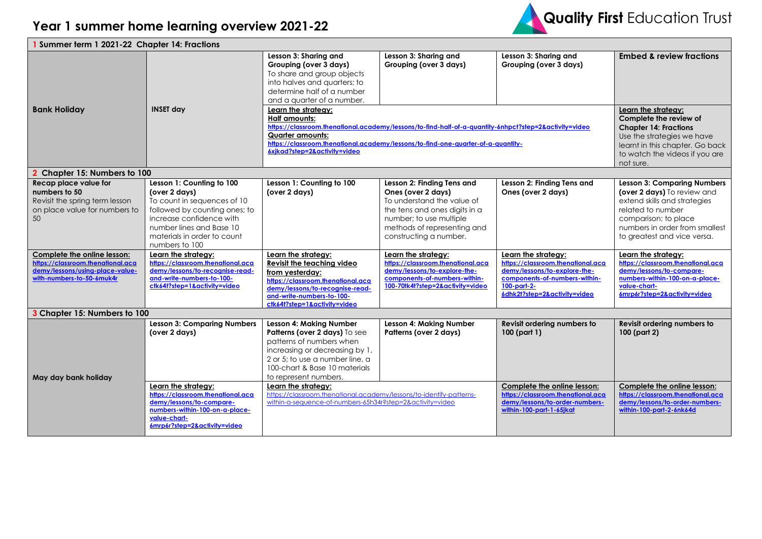

| <b>I</b> Summer term 1 2021-22 Chapter 14: Fractions                                                                             |                                                                                                                                                                                                                     |                                                                                                                                                                                                                                                                                                     |                                                                                                                                                                                                     |                                                                                                                                                                             |                                                                                                                                                                                                                 |  |  |
|----------------------------------------------------------------------------------------------------------------------------------|---------------------------------------------------------------------------------------------------------------------------------------------------------------------------------------------------------------------|-----------------------------------------------------------------------------------------------------------------------------------------------------------------------------------------------------------------------------------------------------------------------------------------------------|-----------------------------------------------------------------------------------------------------------------------------------------------------------------------------------------------------|-----------------------------------------------------------------------------------------------------------------------------------------------------------------------------|-----------------------------------------------------------------------------------------------------------------------------------------------------------------------------------------------------------------|--|--|
|                                                                                                                                  |                                                                                                                                                                                                                     | Lesson 3: Sharing and<br>Grouping (over 3 days)<br>To share and group objects<br>into halves and quarters; to<br>determine half of a number<br>and a quarter of a number.                                                                                                                           | Lesson 3: Sharing and<br>Grouping (over 3 days)                                                                                                                                                     | Lesson 3: Sharing and<br>Grouping (over 3 days)                                                                                                                             | <b>Embed &amp; review fractions</b>                                                                                                                                                                             |  |  |
| <b>Bank Holiday</b>                                                                                                              | <b>INSET day</b>                                                                                                                                                                                                    | Learn the strategy:<br><b>Half amounts:</b><br>https://classroom.thenational.academy/lessons/to-find-half-of-a-quantity-6nhpct?step=2&activity=video<br><b>Quarter amounts:</b><br>https://classroom.thenational.academy/lessons/to-find-one-quarter-of-a-quantity-<br>6xjkad?step=2&activity=video | Learn the strategy:<br>Complete the review of<br><b>Chapter 14: Fractions</b><br>Use the strategies we have<br>learnt in this chapter. Go back<br>to watch the videos if you are<br>not sure.       |                                                                                                                                                                             |                                                                                                                                                                                                                 |  |  |
| Chapter 15: Numbers to 100                                                                                                       |                                                                                                                                                                                                                     |                                                                                                                                                                                                                                                                                                     |                                                                                                                                                                                                     |                                                                                                                                                                             |                                                                                                                                                                                                                 |  |  |
| Recap place value for<br>numbers to 50<br>Revisit the spring term lesson<br>on place value for numbers to<br>50                  | Lesson 1: Counting to 100<br>(over 2 days)<br>To count in sequences of 10<br>followed by counting ones; to<br>increase confidence with<br>number lines and Base 10<br>materials in order to count<br>numbers to 100 | Lesson 1: Counting to 100<br>(over 2 days)                                                                                                                                                                                                                                                          | Lesson 2: Finding Tens and<br>Ones (over 2 days)<br>To understand the value of<br>the tens and ones digits in a<br>number; to use multiple<br>methods of representing and<br>constructing a number. | Lesson 2: Finding Tens and<br>Ones (over 2 days)                                                                                                                            | <b>Lesson 3: Comparing Numbers</b><br>(over 2 days) To review and<br>extend skills and strategies<br>related to number<br>comparison; to place<br>numbers in order from smallest<br>to greatest and vice versa. |  |  |
| Complete the online lesson:<br>https://classroom.thenational.aca<br>demy/lessons/using-place-value-<br>with-numbers-to-50-6muk4r | Learn the strategy:<br>https://classroom.thenational.aca<br>demy/lessons/to-recognise-read-<br>and-write-numbers-to-100-<br>ctk64t?step=1&activity=video                                                            | Learn the strategy:<br>Revisit the teaching video<br>from yesterday:<br>https://classroom.thenational.aca<br>demy/lessons/to-recognise-read-<br>and-write-numbers-to-100-<br>ctk64t?step=1&activity=video                                                                                           | Learn the strategy:<br>https://classroom.thenational.aca<br>demy/lessons/to-explore-the-<br>components-of-numbers-within-<br>100-70tk4t?step=2&activity=video                                       | Learn the strategy:<br>https://classroom.thenational.aca<br>demy/lessons/to-explore-the-<br>components-of-numbers-within-<br>$100$ -part-2-<br>6dhk2t?step=2&activity=video | Learn the strategy:<br>https://classroom.thenational.aca<br>demy/lessons/to-compare-<br>numbers-within-100-on-a-place-<br>value-chart-<br>6mrp6r?step=2&activity=video                                          |  |  |
| 3 Chapter 15: Numbers to 100                                                                                                     |                                                                                                                                                                                                                     |                                                                                                                                                                                                                                                                                                     |                                                                                                                                                                                                     |                                                                                                                                                                             |                                                                                                                                                                                                                 |  |  |
| May day bank holiday                                                                                                             | <b>Lesson 3: Comparing Numbers</b><br>(over 2 days)                                                                                                                                                                 | <b>Lesson 4: Making Number</b><br>Patterns (over 2 days) To see<br>patterns of numbers when<br>increasing or decreasing by 1,<br>2 or 5; to use a number line, a<br>100-chart & Base 10 materials<br>to represent numbers.                                                                          | <b>Lesson 4: Making Number</b><br>Patterns (over 2 days)                                                                                                                                            | Revisit ordering numbers to<br>100 (part 1)                                                                                                                                 | Revisit ordering numbers to<br>100 (part 2)                                                                                                                                                                     |  |  |
|                                                                                                                                  | Learn the strategy:<br>https://classroom.thenational.aca<br>demy/lessons/to-compare-<br>numbers-within-100-on-a-place-<br>value-chart-<br>6mrp6r?step=2&activity=video                                              | Learn the strategy:<br>https://classroom.thenational.academy/lessons/to-identify-patterns-<br>within-a-sequence-of-numbers-65h34r?step=2&activity=video                                                                                                                                             |                                                                                                                                                                                                     | Complete the online lesson:<br>https://classroom.thenational.aca<br>demy/lessons/to-order-numbers-<br>within-100-part-1-65jkat                                              | Complete the online lesson:<br>https://classroom.thenational.aca<br>demy/lessons/to-order-numbers-<br>within-100-part-2-6nk64d                                                                                  |  |  |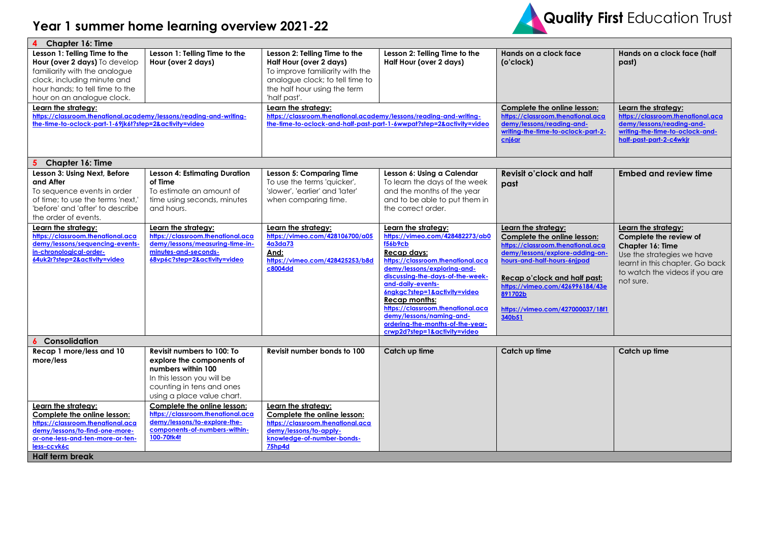## **Year 1 summer home learning overview 2021-22**



| <b>Chapter 16: Time</b>                                                                                                                                                                                |                                                                                                                                                                        |                                                                                                                                                                                |                                                                                                                                                                                                                                                                                                                                                                                                                   |                                                                                                                                                                                                                                                                                       |                                                                                                                                                                                   |  |
|--------------------------------------------------------------------------------------------------------------------------------------------------------------------------------------------------------|------------------------------------------------------------------------------------------------------------------------------------------------------------------------|--------------------------------------------------------------------------------------------------------------------------------------------------------------------------------|-------------------------------------------------------------------------------------------------------------------------------------------------------------------------------------------------------------------------------------------------------------------------------------------------------------------------------------------------------------------------------------------------------------------|---------------------------------------------------------------------------------------------------------------------------------------------------------------------------------------------------------------------------------------------------------------------------------------|-----------------------------------------------------------------------------------------------------------------------------------------------------------------------------------|--|
| Lesson 1: Telling Time to the<br>Hour (over 2 days) To develop<br>familiarity with the analogue<br>clock, including minute and<br>hour hands; to tell time to the<br>hour on an analogue clock.        | Lesson 1: Telling Time to the<br>Hour (over 2 days)                                                                                                                    | Lesson 2: Telling Time to the<br>Half Hour (over 2 days)<br>To improve familiarity with the<br>analogue clock; to tell time to<br>the half hour using the term<br>'half past'. | Lesson 2: Telling Time to the<br>Half Hour (over 2 days)                                                                                                                                                                                                                                                                                                                                                          | Hands on a clock face<br>(o'clock)                                                                                                                                                                                                                                                    | Hands on a clock face (half<br>past)                                                                                                                                              |  |
| Learn the strategy:<br>https://classroom.thenational.academy/lessons/reading-and-writing-<br>the-time-to-oclock-part-1-69jk6t?step=2&activity=video                                                    |                                                                                                                                                                        | Learn the strategy:<br>https://classroom.thenational.academy/lessons/reading-and-writing-<br>the-time-to-oclock-and-half-past-part-1-6wwpat?step=2&activity=video              |                                                                                                                                                                                                                                                                                                                                                                                                                   | Complete the online lesson:<br>https://classroom.thenational.aca<br>demy/lessons/reading-and-<br>writing-the-time-to-oclock-part-2-<br>cnj6ar                                                                                                                                         | <u>Learn the strategy:</u><br>https://classroom.thenational.aca<br>demy/lessons/reading-and-<br>writing-the-time-to-oclock-and-<br>half-past-part-2-c4wkjr                        |  |
| Chapter 16: Time                                                                                                                                                                                       |                                                                                                                                                                        |                                                                                                                                                                                |                                                                                                                                                                                                                                                                                                                                                                                                                   |                                                                                                                                                                                                                                                                                       |                                                                                                                                                                                   |  |
| Lesson 3: Using Next, Before<br>and After<br>To sequence events in order<br>of time; to use the terms 'next,'<br>'before' and 'after' to describe<br>the order of events.                              | <b>Lesson 4: Estimating Duration</b><br>of Time<br>To estimate an amount of<br>time using seconds, minutes<br>and hours.                                               | <b>Lesson 5: Comparing Time</b><br>To use the terms 'quicker',<br>'slower', 'earlier' and 'later'<br>when comparing time.                                                      | Lesson 6: Using a Calendar<br>To learn the days of the week<br>and the months of the year<br>and to be able to put them in<br>the correct order.                                                                                                                                                                                                                                                                  | Revisit o'clock and half<br>past                                                                                                                                                                                                                                                      | <b>Embed and review time</b>                                                                                                                                                      |  |
| Learn the strategy:<br>https://classroom.thenational.aca<br>demy/lessons/sequencing-events-<br>in-chronological-order-<br>64uk2r?step=2&activity=video                                                 | Learn the strategy:<br>https://classroom.thenational.aca<br>demy/lessons/measuring-time-in-<br>minutes-and-seconds-<br>68vp6c?step=2&activity=video                    | Learn the strategy:<br>https://vimeo.com/428106700/a05<br>4a3da73<br>And:<br>https://vimeo.com/428425253/b8d<br>c8004dd                                                        | Learn the strategy:<br>https://vimeo.com/428482273/ab0<br><b>f56b9cb</b><br>Recap days:<br>https://classroom.thenational.aca<br>demy/lessons/exploring-and-<br>discussing-the-days-of-the-week-<br>and-daily-events-<br>6ngkgc?step=1&activity=video<br><b>Recap months:</b><br>https://classroom.thenational.aca<br>demy/lessons/namina-and-<br>ordering-the-months-of-the-vear-<br>crwp2d?step=1&activity=video | Learn the strategy:<br>Complete the online lesson:<br>https://classroom.thenational.aca<br>demy/lessons/explore-adding-on-<br>hours-and-half-hours-6njpad<br>Recap o'clock and half past:<br>https://vimeo.com/426996184/43e<br>891702b<br>https://vimeo.com/427000037/18f1<br>340b51 | Learn the strategy:<br>Complete the review of<br>Chapter 16: Time<br>Use the strategies we have<br>learnt in this chapter. Go back<br>to watch the videos if you are<br>not sure. |  |
| Consolidation<br>6                                                                                                                                                                                     |                                                                                                                                                                        |                                                                                                                                                                                |                                                                                                                                                                                                                                                                                                                                                                                                                   |                                                                                                                                                                                                                                                                                       |                                                                                                                                                                                   |  |
| Recap 1 more/less and 10<br>more/less                                                                                                                                                                  | Revisit numbers to 100: To<br>explore the components of<br>numbers within 100<br>In this lesson you will be<br>counting in tens and ones<br>using a place value chart. | Revisit number bonds to 100                                                                                                                                                    | Catch up time                                                                                                                                                                                                                                                                                                                                                                                                     | Catch up time                                                                                                                                                                                                                                                                         | Catch up time                                                                                                                                                                     |  |
| Learn the strategy:<br>Complete the online lesson:<br>https://classroom.thenational.aca<br>demy/lessons/to-find-one-more-<br>or-one-less-and-ten-more-or-ten-<br>less-ccvk6c<br><b>Half term break</b> | Complete the online lesson:<br>https://classroom.thenational.aca<br>demy/lessons/to-explore-the-<br>components-of-numbers-within-<br>100-70tk4t                        | Learn the strategy:<br>Complete the online lesson:<br>https://classroom.thenational.aca<br>demy/lessons/to-apply-<br>knowledge-of-number-bonds-<br>75hp4d                      |                                                                                                                                                                                                                                                                                                                                                                                                                   |                                                                                                                                                                                                                                                                                       |                                                                                                                                                                                   |  |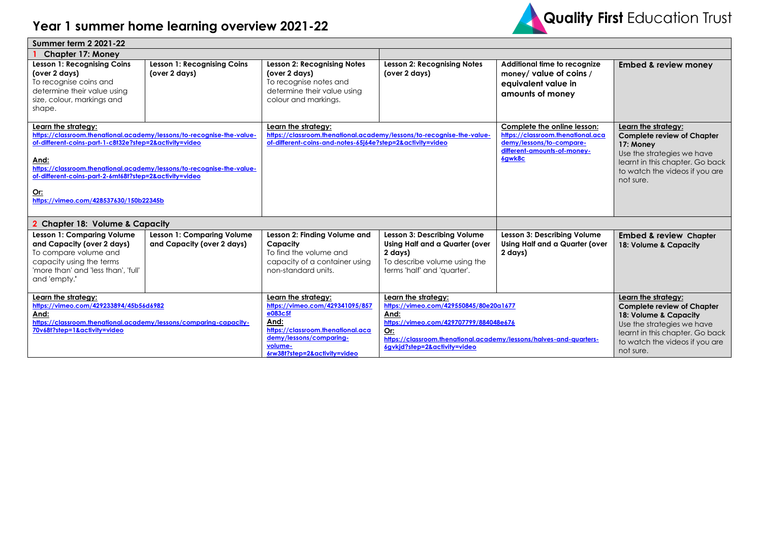## **Year 1 summer home learning overview 2021-22**



| <b>Summer term 2 2021-22</b>                                                                                                                                                                                                                                                                                                                              |                                                                 |                                                                                                                                                                                      |                                                                                                                                                                                                                              |                                                                                                                                       |                                                                                                                                                                                                   |  |
|-----------------------------------------------------------------------------------------------------------------------------------------------------------------------------------------------------------------------------------------------------------------------------------------------------------------------------------------------------------|-----------------------------------------------------------------|--------------------------------------------------------------------------------------------------------------------------------------------------------------------------------------|------------------------------------------------------------------------------------------------------------------------------------------------------------------------------------------------------------------------------|---------------------------------------------------------------------------------------------------------------------------------------|---------------------------------------------------------------------------------------------------------------------------------------------------------------------------------------------------|--|
| <b>Chapter 17: Money</b>                                                                                                                                                                                                                                                                                                                                  |                                                                 |                                                                                                                                                                                      |                                                                                                                                                                                                                              |                                                                                                                                       |                                                                                                                                                                                                   |  |
| <b>Lesson 1: Recognising Coins</b><br>(over 2 days)<br>To recognise coins and<br>determine their value using<br>size, colour, markings and<br>shape.                                                                                                                                                                                                      | <b>Lesson 1: Recognising Coins</b><br>(over 2 days)             | <b>Lesson 2: Recognising Notes</b><br>(over 2 days)<br>To recognise notes and<br>determine their value using<br>colour and markings.                                                 | <b>Lesson 2: Recognising Notes</b><br>(over 2 days)                                                                                                                                                                          | Additional time to recognize<br>money/ value of coins /<br>equivalent value in<br>amounts of money                                    | <b>Embed &amp; review money</b>                                                                                                                                                                   |  |
| Learn the strategy:<br>https://classroom.thenational.academy/lessons/to-recognise-the-value-<br>of-different-coins-part-1-c8t32e?step=2&activity=video<br>And:<br>https://classroom.thenational.academy/lessons/to-recognise-the-value-<br>of-different-coins-part-2-6mt68t?step=2&activity=video<br><u>Or:</u><br>https://vimeo.com/428537630/150b22345b |                                                                 | Learn the strategy:<br>https://classroom.thenational.academy/lessons/to-recognise-the-value-<br>of-different-coins-and-notes-65j64e?step=2&activity=video                            |                                                                                                                                                                                                                              | Complete the online lesson:<br>https://classroom.thenational.aca<br>demy/lessons/to-compare-<br>different-amounts-of-money-<br>6gwk8c | Learn the strategy:<br><b>Complete review of Chapter</b><br>17: Money<br>Use the strategies we have<br>learnt in this chapter. Go back<br>to watch the videos if you are<br>not sure.             |  |
| 2 Chapter 18: Volume & Capacity                                                                                                                                                                                                                                                                                                                           |                                                                 |                                                                                                                                                                                      |                                                                                                                                                                                                                              |                                                                                                                                       |                                                                                                                                                                                                   |  |
| Lesson 1: Comparing Volume<br>and Capacity (over 2 days)<br>To compare volume and<br>capacity using the terms<br>'more than' and 'less than', 'full'<br>and 'empty.'                                                                                                                                                                                      | <b>Lesson 1: Comparing Volume</b><br>and Capacity (over 2 days) | Lesson 2: Finding Volume and<br>Capacity<br>To find the volume and<br>capacity of a container using<br>non-standard units.                                                           | Lesson 3: Describing Volume<br>Using Half and a Quarter (over<br>2 days)<br>To describe volume using the<br>terms 'half' and 'quarter'.                                                                                      | Lesson 3: Describing Volume<br>Using Half and a Quarter (over<br>2 days)                                                              | <b>Embed &amp; review Chapter</b><br>18: Volume & Capacity                                                                                                                                        |  |
| Learn the strategy:<br>https://vimeo.com/429233894/45b56d6982<br>And:<br>https://classroom.thenational.academy/lessons/comparing-capacity-<br>70v68t?step=1&activity=video                                                                                                                                                                                |                                                                 | Learn the strategy:<br>https://vimeo.com/429341095/857<br>e083c5f<br>And:<br>https://classroom.thenational.aca<br>demy/lessons/comparing-<br>volume-<br>6rw38t?step=2&activity=video | Learn the strategy:<br>https://vimeo.com/429550845/80e20a1677<br>And:<br>https://vimeo.com/429707799/884048e676<br>Or:<br>https://classroom.thenational.academy/lessons/halves-and-quarters-<br>6gvkjd?step=2&activity=video |                                                                                                                                       | Learn the strategy:<br><b>Complete review of Chapter</b><br>18: Volume & Capacity<br>Use the strategies we have<br>learnt in this chapter. Go back<br>to watch the videos if you are<br>not sure. |  |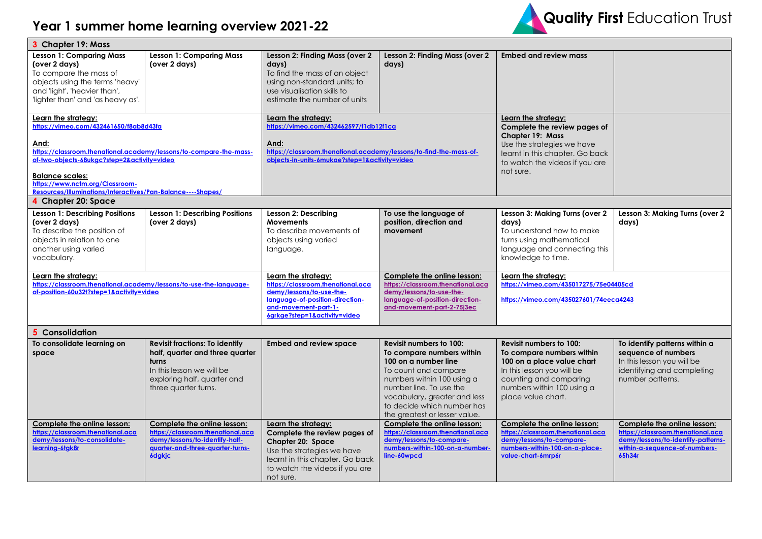

| 3 Chapter 19: Mass                                                                                                                                                                                                                                                                                                     |                                                                                                                                                                       |                                                                                                                                                                                              |                                                                                                                                                                                                                                                                     |                                                                                                                                                                                                |                                                                                                                                                   |  |
|------------------------------------------------------------------------------------------------------------------------------------------------------------------------------------------------------------------------------------------------------------------------------------------------------------------------|-----------------------------------------------------------------------------------------------------------------------------------------------------------------------|----------------------------------------------------------------------------------------------------------------------------------------------------------------------------------------------|---------------------------------------------------------------------------------------------------------------------------------------------------------------------------------------------------------------------------------------------------------------------|------------------------------------------------------------------------------------------------------------------------------------------------------------------------------------------------|---------------------------------------------------------------------------------------------------------------------------------------------------|--|
| <b>Lesson 1: Comparing Mass</b><br>(over 2 days)<br>To compare the mass of<br>objects using the terms 'heavy'<br>and 'light', 'heavier than',<br>'lighter than' and 'as heavy as'.                                                                                                                                     | <b>Lesson 1: Comparing Mass</b><br>(over 2 days)                                                                                                                      | Lesson 2: Finding Mass (over 2<br>days)<br>To find the mass of an object<br>using non-standard units; to<br>use visualisation skills to<br>estimate the number of units                      | Lesson 2: Finding Mass (over 2<br>days)                                                                                                                                                                                                                             | <b>Embed and review mass</b>                                                                                                                                                                   |                                                                                                                                                   |  |
| Learn the strategy:<br>https://vimeo.com/432461650/f8ab8d43fa<br>And:<br>https://classroom.thenational.academy/lessons/to-compare-the-mass-<br>of-two-objects-68ukgc?step=2&activity=video<br><b>Balance scales:</b><br>https://www.nctm.org/Classroom-<br>Resources/Illuminations/Interactives/Pan-Balance----Shapes/ |                                                                                                                                                                       | Learn the strategy:<br>https://vimeo.com/432462597/f1db12f1ca<br>And:<br>https://classroom.thenational.academy/lessons/to-find-the-mass-of-<br>objects-in-units-6mukae?step=1&activity=video |                                                                                                                                                                                                                                                                     | Learn the strategy:<br>Complete the review pages of<br><b>Chapter 19: Mass</b><br>Use the strategies we have<br>learnt in this chapter. Go back<br>to watch the videos if you are<br>not sure. |                                                                                                                                                   |  |
| 4 Chapter 20: Space                                                                                                                                                                                                                                                                                                    |                                                                                                                                                                       |                                                                                                                                                                                              |                                                                                                                                                                                                                                                                     |                                                                                                                                                                                                |                                                                                                                                                   |  |
| <b>Lesson 1: Describing Positions</b><br>(over 2 days)<br>To describe the position of<br>objects in relation to one<br>another using varied<br>vocabulary.                                                                                                                                                             | <b>Lesson 1: Describing Positions</b><br>(over 2 days)                                                                                                                | Lesson 2: Describing<br><b>Movements</b><br>To describe movements of<br>objects using varied<br>language.                                                                                    | To use the language of<br>position, direction and<br>movement                                                                                                                                                                                                       | Lesson 3: Making Turns (over 2<br>days)<br>To understand how to make<br>turns using mathematical<br>language and connecting this<br>knowledge to time.                                         | Lesson 3: Making Turns (over 2<br>days)                                                                                                           |  |
| Learn the strategy:<br>https://classroom.thenational.academy/lessons/to-use-the-language-<br>of-position-60u32t?step=1&activity=video                                                                                                                                                                                  |                                                                                                                                                                       | Learn the strategy:<br>https://classroom.thenational.aca<br>demy/lessons/to-use-the-<br>language-of-position-direction-<br>and-movement-part-1-<br>6grkge?step=1&activity=video              | Complete the online lesson:<br>https://classroom.thenational.aca<br>demy/lessons/to-use-the-<br>language-of-position-direction-<br>and-movement-part-2-75j3ec                                                                                                       | Learn the strategy:<br>https://vimeo.com/435017275/75e04405cd<br>https://vimeo.com/435027601/74eeca4243                                                                                        |                                                                                                                                                   |  |
| 5 Consolidation                                                                                                                                                                                                                                                                                                        |                                                                                                                                                                       |                                                                                                                                                                                              |                                                                                                                                                                                                                                                                     |                                                                                                                                                                                                |                                                                                                                                                   |  |
| To consolidate learning on<br>space                                                                                                                                                                                                                                                                                    | <b>Revisit fractions: To identify</b><br>half, quarter and three quarter<br>turns<br>In this lesson we will be<br>exploring half, quarter and<br>three quarter turns. | <b>Embed and review space</b>                                                                                                                                                                | <b>Revisit numbers to 100:</b><br>To compare numbers within<br>100 on a number line<br>To count and compare<br>numbers within 100 using a<br>number line. To use the<br>vocabulary, greater and less<br>to decide which number has<br>the greatest or lesser value. | Revisit numbers to 100:<br>To compare numbers within<br>100 on a place value chart<br>In this lesson you will be<br>counting and comparing<br>numbers within 100 using a<br>place value chart. | To identify patterns within a<br>sequence of numbers<br>In this lesson you will be<br>identifying and completing<br>number patterns.              |  |
| Complete the online lesson:<br>https://classroom.thenational.aca<br>demy/lessons/to-consolidate-<br>learning-6tgk8r                                                                                                                                                                                                    | Complete the online lesson:<br>https://classroom.thenational.aca<br>demy/lessons/to-identify-half-<br>quarter-and-three-quarter-turns-<br><b>6dgkjc</b>               | Learn the strategy:<br>Complete the review pages of<br>Chapter 20: Space<br>Use the strategies we have<br>learnt in this chapter. Go back<br>to watch the videos if you are<br>not sure.     | Complete the online lesson:<br>https://classroom.thenational.aca<br>demy/lessons/to-compare-<br>numbers-within-100-on-a-number-<br>line-60wpcd                                                                                                                      | Complete the online lesson:<br>https://classroom.thenational.aca<br>demy/lessons/to-compare-<br>numbers-within-100-on-a-place-<br>value-chart-6mrp6r                                           | Complete the online lesson:<br>https://classroom.thenational.aca<br>demy/lessons/to-identify-patterns-<br>within-a-sequence-of-numbers-<br>65h34r |  |